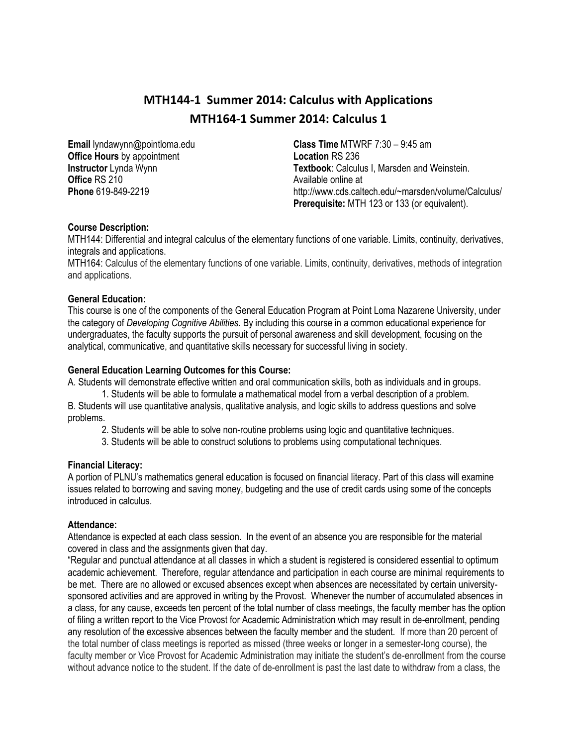# **MTH144-1 Summer 2014: Calculus with Applications MTH164-1 Summer 2014: Calculus 1**

**Email** lyndawynn@pointloma.edu **Office Hours** by appointment **Instructor** Lynda Wynn **Office** RS 210 **Phone** 619-849-2219

**Class Time** MTWRF 7:30 – 9:45 am **Location** RS 236 **Textbook**: Calculus I, Marsden and Weinstein. Available online at http://www.cds.caltech.edu/~marsden/volume/Calculus/ **Prerequisite:** MTH 123 or 133 (or equivalent).

# **Course Description:**

MTH144: Differential and integral calculus of the elementary functions of one variable. Limits, continuity, derivatives, integrals and applications.

MTH164: Calculus of the elementary functions of one variable. Limits, continuity, derivatives, methods of integration and applications.

#### **General Education:**

This course is one of the components of the General Education Program at Point Loma Nazarene University, under the category of *Developing Cognitive Abilities*. By including this course in a common educational experience for undergraduates, the faculty supports the pursuit of personal awareness and skill development, focusing on the analytical, communicative, and quantitative skills necessary for successful living in society.

#### **General Education Learning Outcomes for this Course:**

A. Students will demonstrate effective written and oral communication skills, both as individuals and in groups.

1. Students will be able to formulate a mathematical model from a verbal description of a problem. B. Students will use quantitative analysis, qualitative analysis, and logic skills to address questions and solve problems.

2. Students will be able to solve non-routine problems using logic and quantitative techniques.

3. Students will be able to construct solutions to problems using computational techniques.

#### **Financial Literacy:**

A portion of PLNU's mathematics general education is focused on financial literacy. Part of this class will examine issues related to borrowing and saving money, budgeting and the use of credit cards using some of the concepts introduced in calculus.

#### **Attendance:**

Attendance is expected at each class session. In the event of an absence you are responsible for the material covered in class and the assignments given that day.

"Regular and punctual attendance at all classes in which a student is registered is considered essential to optimum academic achievement. Therefore, regular attendance and participation in each course are minimal requirements to be met. There are no allowed or excused absences except when absences are necessitated by certain universitysponsored activities and are approved in writing by the Provost. Whenever the number of accumulated absences in a class, for any cause, exceeds ten percent of the total number of class meetings, the faculty member has the option of filing a written report to the Vice Provost for Academic Administration which may result in de-enrollment, pending any resolution of the excessive absences between the faculty member and the student. If more than 20 percent of the total number of class meetings is reported as missed (three weeks or longer in a semester-long course), the faculty member or Vice Provost for Academic Administration may initiate the student's de-enrollment from the course without advance notice to the student. If the date of de-enrollment is past the last date to withdraw from a class, the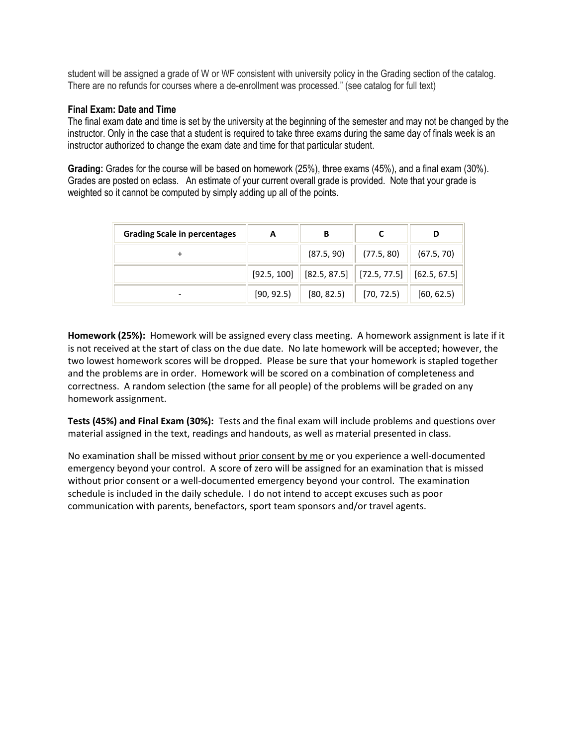student will be assigned a grade of W or WF consistent with university policy in the Grading section of the catalog. There are no refunds for courses where a de-enrollment was processed." (see catalog for full text)

### **Final Exam: Date and Time**

The final exam date and time is set by the university at the beginning of the semester and may not be changed by the instructor. Only in the case that a student is required to take three exams during the same day of finals week is an instructor authorized to change the exam date and time for that particular student.

**Grading:** Grades for the course will be based on homework (25%), three exams (45%), and a final exam (30%). Grades are posted on eclass. An estimate of your current overall grade is provided. Note that your grade is weighted so it cannot be computed by simply adding up all of the points.

| <b>Grading Scale in percentages</b> | А          | В                                                          |                 | D          |
|-------------------------------------|------------|------------------------------------------------------------|-----------------|------------|
|                                     |            | (87.5, 90)                                                 | (77.5, 80)      | (67.5, 70) |
|                                     |            | $[92.5, 100]$ $[82.5, 87.5]$ $[72.5, 77.5]$ $[62.5, 67.5]$ |                 |            |
|                                     | [90, 92.5] | [80, 82.5]                                                 | $\ $ [70, 72.5) | [60, 62.5] |

**Homework (25%):** Homework will be assigned every class meeting. A homework assignment is late if it is not received at the start of class on the due date. No late homework will be accepted; however, the two lowest homework scores will be dropped. Please be sure that your homework is stapled together and the problems are in order. Homework will be scored on a combination of completeness and correctness. A random selection (the same for all people) of the problems will be graded on any homework assignment.

**Tests (45%) and Final Exam (30%):** Tests and the final exam will include problems and questions over material assigned in the text, readings and handouts, as well as material presented in class.

No examination shall be missed without prior consent by me or you experience a well-documented emergency beyond your control. A score of zero will be assigned for an examination that is missed without prior consent or a well-documented emergency beyond your control. The examination schedule is included in the daily schedule. I do not intend to accept excuses such as poor communication with parents, benefactors, sport team sponsors and/or travel agents.